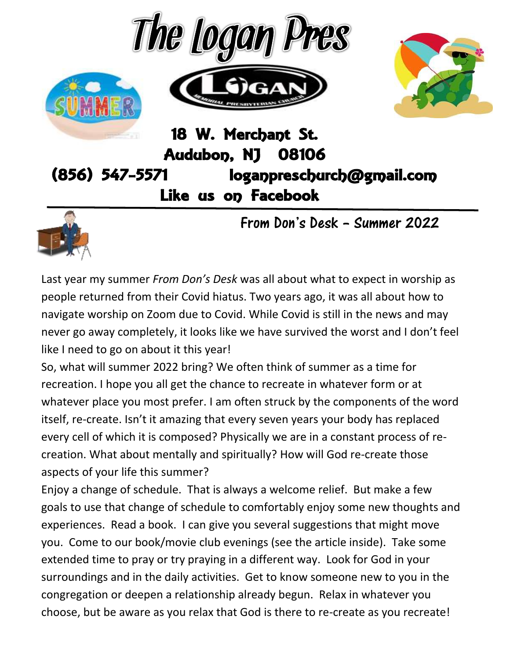



#### 18 W. Merchant St. **Audubon, NJ** 08106  $(856) 547 - 5571$ loganpreschurch@gmail.com Like us on Facebook



From Don's Desk – Summer 2022

Last year my summer *From Don's Desk* was all about what to expect in worship as people returned from their Covid hiatus. Two years ago, it was all about how to navigate worship on Zoom due to Covid. While Covid is still in the news and may never go away completely, it looks like we have survived the worst and I don't feel like I need to go on about it this year!

So, what will summer 2022 bring? We often think of summer as a time for recreation. I hope you all get the chance to recreate in whatever form or at whatever place you most prefer. I am often struck by the components of the word itself, re-create. Isn't it amazing that every seven years your body has replaced every cell of which it is composed? Physically we are in a constant process of recreation. What about mentally and spiritually? How will God re-create those aspects of your life this summer?

Enjoy a change of schedule. That is always a welcome relief. But make a few goals to use that change of schedule to comfortably enjoy some new thoughts and experiences. Read a book. I can give you several suggestions that might move you. Come to our book/movie club evenings (see the article inside). Take some extended time to pray or try praying in a different way. Look for God in your surroundings and in the daily activities. Get to know someone new to you in the congregation or deepen a relationship already begun. Relax in whatever you choose, but be aware as you relax that God is there to re-create as you recreate!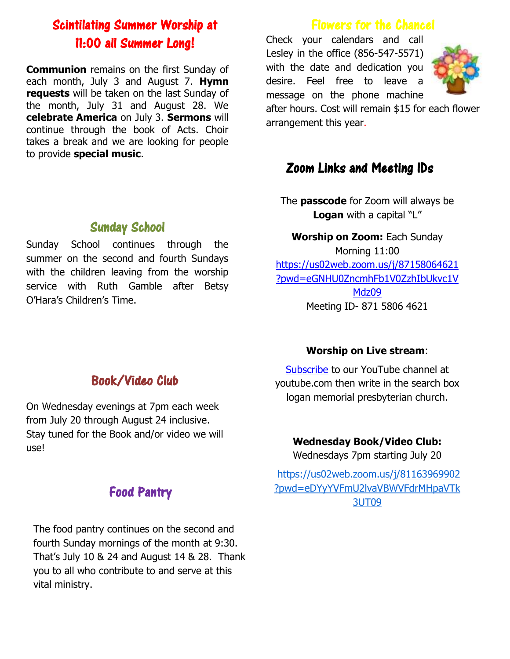# Scintilating Summer Worship at 11:00 all Summer Long!

**Communion** remains on the first Sunday of each month, July 3 and August 7. **Hymn requests** will be taken on the last Sunday of the month, July 31 and August 28. We **celebrate America** on July 3. **Sermons** will continue through the book of Acts. Choir takes a break and we are looking for people to provide **special music**.

## Flowers for the Chancel

Check your calendars and call Lesley in the office (856-547-5571) with the date and dedication you desire. Feel free to leave a message on the phone machine



after hours. Cost will remain \$15 for each flower arrangement this year.

## Zoom Links and Meeting IDs

The **passcode** for Zoom will always be **Logan** with a capital "L"

**Worship on Zoom:** Each Sunday Morning 11:00 [https://us02web.zoom.us/j/87158064621](https://us02web.zoom.us/j/87158064621?pwd=eGNHU0ZncmhFb1V0ZzhIbUkvc1VMdz09) [?pwd=eGNHU0ZncmhFb1V0ZzhIbUkvc1V](https://us02web.zoom.us/j/87158064621?pwd=eGNHU0ZncmhFb1V0ZzhIbUkvc1VMdz09) [Mdz09](https://us02web.zoom.us/j/87158064621?pwd=eGNHU0ZncmhFb1V0ZzhIbUkvc1VMdz09) Meeting ID- 871 5806 4621

#### **Worship on Live stream**:

[Subscribe](https://www.youtube.com/channel/UCV5fo8nDCcZ8Q5Z77xwaPZQ) to our YouTube channel at youtube.com then write in the search box logan memorial presbyterian church.

#### **Wednesday Book/Video Club:**

Wednesdays 7pm starting July 20

[https://us02web.zoom.us/j/81163969902](https://us02web.zoom.us/j/81163969902?pwd=eDYyYVFmU2lvaVBWVFdrMHpaVTk3UT09) [?pwd=eDYyYVFmU2lvaVBWVFdrMHpaVTk](https://us02web.zoom.us/j/81163969902?pwd=eDYyYVFmU2lvaVBWVFdrMHpaVTk3UT09) [3UT09](https://us02web.zoom.us/j/81163969902?pwd=eDYyYVFmU2lvaVBWVFdrMHpaVTk3UT09)

### Sunday School

Sunday School continues through the summer on the second and fourth Sundays with the children leaving from the worship service with Ruth Gamble after Betsy O'Hara's Children's Time.

# Book/Video Club

On Wednesday evenings at 7pm each week from July 20 through August 24 inclusive. Stay tuned for the Book and/or video we will use!

## Food Pantry

The food pantry continues on the second and fourth Sunday mornings of the month at 9:30. That's July 10 & 24 and August 14 & 28. Thank you to all who contribute to and serve at this vital ministry.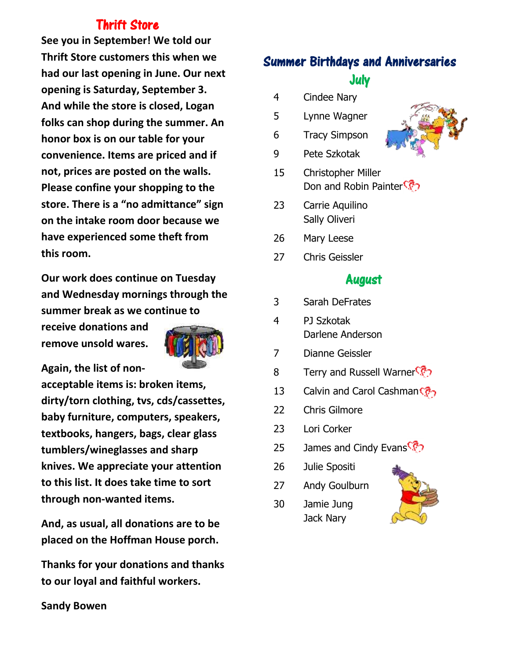## Thrift Store

**See you in September! We told our Thrift Store customers this when we had our last opening in June. Our next opening is Saturday, September 3. And while the store is closed, Logan folks can shop during the summer. An honor box is on our table for your convenience. Items are priced and if not, prices are posted on the walls. Please confine your shopping to the store. There is a "no admittance" sign on the intake room door because we have experienced some theft from this room.**

**Our work does continue on Tuesday and Wednesday mornings through the summer break as we continue to** 

**receive donations and remove unsold wares.** 



**Again, the list of non-**

**acceptable items is: broken items, dirty/torn clothing, tvs, cds/cassettes, baby furniture, computers, speakers, textbooks, hangers, bags, clear glass tumblers/wineglasses and sharp knives. We appreciate your attention to this list. It does take time to sort through non-wanted items.**

**And, as usual, all donations are to be placed on the Hoffman House porch.**

**Thanks for your donations and thanks to our loyal and faithful workers.**

# Summer Birthdays and Anniversaries July

- 4 Cindee Nary
- 5 Lynne Wagner
- 6 Tracy Simpson
- 9 Pete Szkotak
- 15 Christopher Miller Don and Robin Painter<sup>CP</sup>
- 23 Carrie Aquilino Sally Oliveri
- 26 Mary Leese
- 27 Chris Geissler

## August

- 3 Sarah DeFrates
- 4 PJ Szkotak Darlene Anderson
- 7 Dianne Geissler
- 8 Terry and Russell Warner<sup></sup>
- 13 Calvin and Carol Cashman
- 22 Chris Gilmore
- 23 Lori Corker
- 25 James and Cindy Evans
- 26 Julie Spositi
- 27 Andy Goulburn
- 30 Jamie Jung Jack Nary





**Sandy Bowen**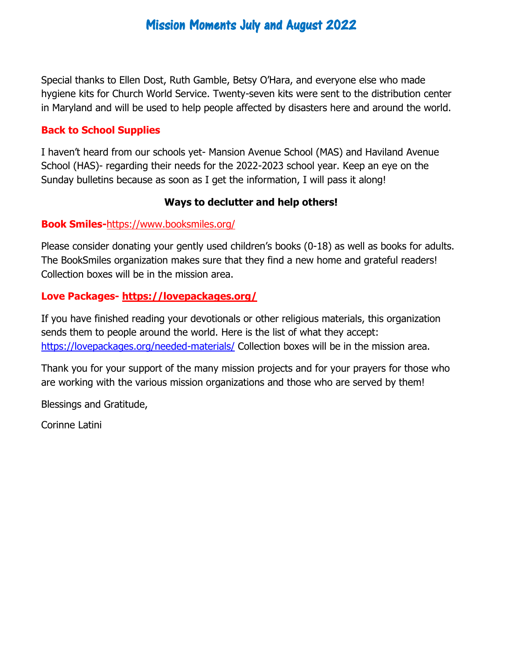## Mission Moments July and August 2022

Special thanks to Ellen Dost, Ruth Gamble, Betsy O'Hara, and everyone else who made hygiene kits for Church World Service. Twenty-seven kits were sent to the distribution center in Maryland and will be used to help people affected by disasters here and around the world.

#### **Back to School Supplies**

I haven't heard from our schools yet- Mansion Avenue School (MAS) and Haviland Avenue School (HAS)- regarding their needs for the 2022-2023 school year. Keep an eye on the Sunday bulletins because as soon as I get the information, I will pass it along!

#### **Ways to declutter and help others!**

#### **Book Smiles-**<https://www.booksmiles.org/>

Please consider donating your gently used children's books (0-18) as well as books for adults. The BookSmiles organization makes sure that they find a new home and grateful readers! Collection boxes will be in the mission area.

#### **Love Packages- <https://lovepackages.org/>**

If you have finished reading your devotionals or other religious materials, this organization sends them to people around the world. Here is the list of what they accept: <https://lovepackages.org/needed-materials/> Collection boxes will be in the mission area.

Thank you for your support of the many mission projects and for your prayers for those who are working with the various mission organizations and those who are served by them!

Blessings and Gratitude,

Corinne Latini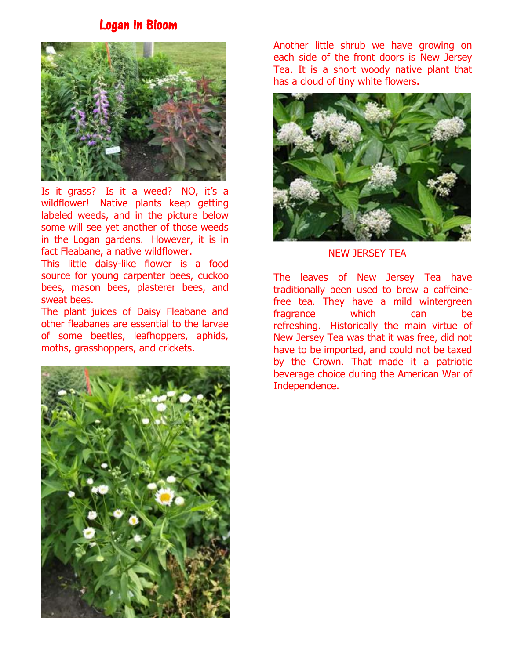### Logan in Bloom



Is it grass? Is it a weed? NO, it's a wildflower! Native plants keep getting labeled weeds, and in the picture below some will see yet another of those weeds in the Logan gardens. However, it is in fact Fleabane, a native wildflower.

This little daisy-like flower is a food source for young carpenter bees, cuckoo bees, mason bees, plasterer bees, and sweat bees.

The plant juices of Daisy Fleabane and other fleabanes are essential to the larvae of some beetles, leafhoppers, aphids, moths, grasshoppers, and crickets.



Another little shrub we have growing on each side of the front doors is New Jersey Tea. It is a short woody native plant that has a cloud of tiny white flowers.



NEW JERSEY TEA

The leaves of New Jersey Tea have traditionally been used to brew a caffeinefree tea. They have a mild wintergreen fragrance which can be refreshing. Historically the main virtue of New Jersey Tea was that it was free, did not have to be imported, and could not be taxed by the Crown. That made it a patriotic beverage choice during the American War of Independence.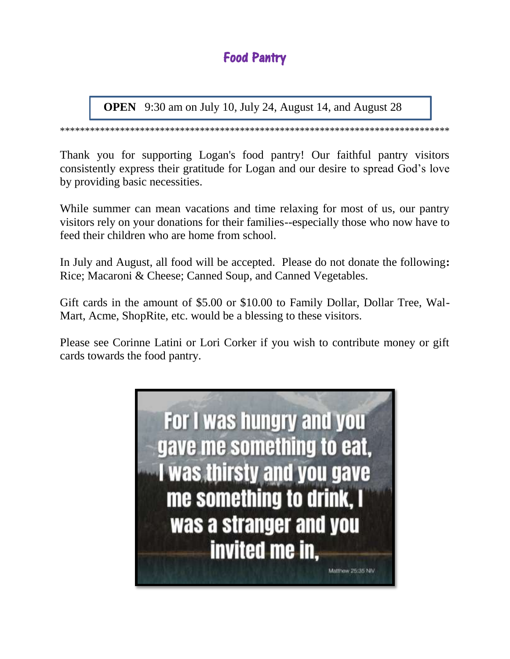# Food Pantry

 **OPEN** 9:30 am on July 10, July 24, August 14, and August 28

\*\*\*\*\*\*\*\*\*\*\*\*\*\*\*\*\*\*\*\*\*\*\*\*\*\*\*\*\*\*\*\*\*\*\*\*\*\*\*\*\*\*\*\*\*\*\*\*\*\*\*\*\*\*\*\*\*\*\*\*\*\*\*\*\*\*\*\*\*\*\*\*\*\*\*\*\*\*

Thank you for supporting Logan's food pantry! Our faithful pantry visitors consistently express their gratitude for Logan and our desire to spread God's love by providing basic necessities.

While summer can mean vacations and time relaxing for most of us, our pantry visitors rely on your donations for their families--especially those who now have to feed their children who are home from school.

In July and August, all food will be accepted. Please do not donate the following**:** Rice; Macaroni & Cheese; Canned Soup, and Canned Vegetables.

Gift cards in the amount of \$5.00 or \$10.00 to Family Dollar, Dollar Tree, Wal-Mart, Acme, ShopRite, etc. would be a blessing to these visitors.

Please see Corinne Latini or Lori Corker if you wish to contribute money or gift cards towards the food pantry.

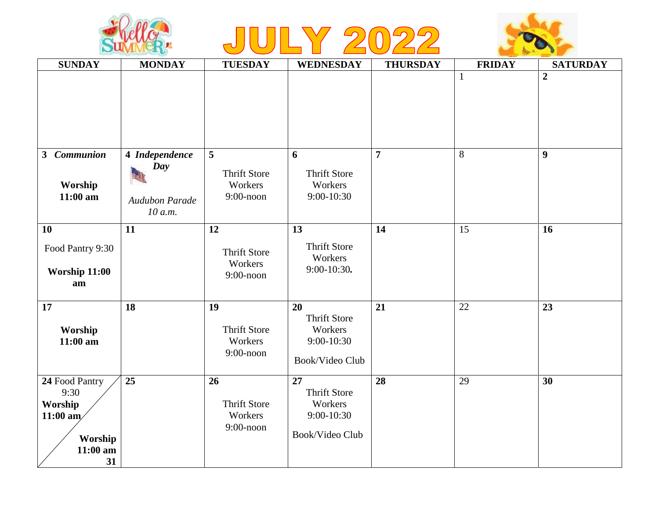





| <b>SUNDAY</b>                                                                  | <b>MONDAY</b>                    | <b>TUESDAY</b>                                       | <b>WEDNESDAY</b>                                                      | <b>THURSDAY</b> | <b>FRIDAY</b> | <b>SATURDAY</b>  |
|--------------------------------------------------------------------------------|----------------------------------|------------------------------------------------------|-----------------------------------------------------------------------|-----------------|---------------|------------------|
|                                                                                |                                  |                                                      |                                                                       |                 | $\mathbf{1}$  | $\overline{2}$   |
| 3 Communion                                                                    | 4 Independence                   | 5                                                    | 6                                                                     | $\overline{7}$  | 8             | $\boldsymbol{9}$ |
| Worship<br>$11:00$ am                                                          | Day<br>Audubon Parade<br>10 a.m. | <b>Thrift Store</b><br>Workers<br>$9:00$ -noon       | <b>Thrift Store</b><br>Workers<br>9:00-10:30                          |                 |               |                  |
| <b>10</b>                                                                      | 11                               | 12                                                   | 13                                                                    | 14              | 15            | 16               |
| Food Pantry 9:30<br>Worship 11:00<br>am                                        |                                  | <b>Thrift Store</b><br>Workers<br>$9:00$ -noon       | <b>Thrift Store</b><br>Workers<br>$9:00-10:30$ .                      |                 |               |                  |
| 17<br>Worship<br>$11:00$ am                                                    | 18                               | 19<br><b>Thrift Store</b><br>Workers<br>$9:00$ -noon | 20<br><b>Thrift Store</b><br>Workers<br>9:00-10:30<br>Book/Video Club | 21              | 22            | 23               |
| 24 Food Pantry<br>9:30<br>Worship<br>$11:00$ am<br>Worship<br>$11:00$ am<br>31 | 25                               | 26<br><b>Thrift Store</b><br>Workers<br>$9:00$ -noon | 27<br><b>Thrift Store</b><br>Workers<br>9:00-10:30<br>Book/Video Club | 28              | 29            | 30               |